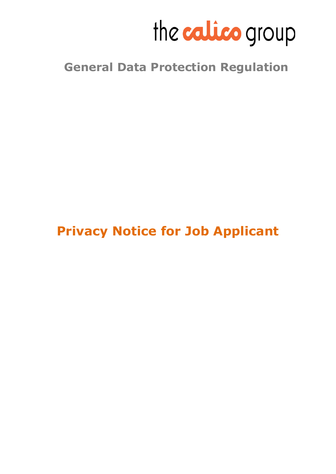

# **General Data Protection Regulation**

# **Privacy Notice for Job Applicant**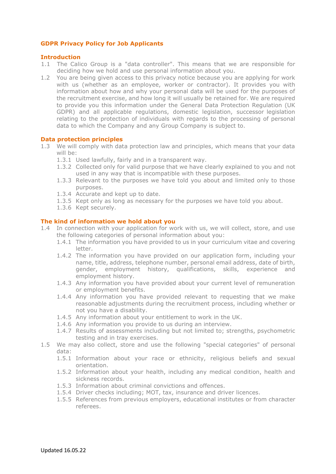## **GDPR Privacy Policy for Job Applicants**

## **Introduction**

- 1.1 The Calico Group is a "data controller". This means that we are responsible for deciding how we hold and use personal information about you.
- 1.2 You are being given access to this privacy notice because you are applying for work with us (whether as an employee, worker or contractor). It provides you with information about how and why your personal data will be used for the purposes of the recruitment exercise, and how long it will usually be retained for. We are required to provide you this information under the General Data Protection Regulation (UK GDPR) and all applicable regulations, domestic legislation, successor legislation relating to the protection of individuals with regards to the processing of personal data to which the Company and any Group Company is subject to.

## **Data protection principles**

- 1.3 We will comply with data protection law and principles, which means that your data will be:
	- 1.3.1 Used lawfully, fairly and in a transparent way.
	- 1.3.2 Collected only for valid purpose that we have clearly explained to you and not used in any way that is incompatible with these purposes.
	- 1.3.3 Relevant to the purposes we have told you about and limited only to those purposes.
	- 1.3.4 Accurate and kept up to date.
	- 1.3.5 Kept only as long as necessary for the purposes we have told you about.
	- 1.3.6 Kept securely.

## **The kind of information we hold about you**

- 1.4 In connection with your application for work with us, we will collect, store, and use the following categories of personal information about you:
	- 1.4.1 The information you have provided to us in your curriculum vitae and covering letter.
	- 1.4.2 The information you have provided on our application form, including your name, title, address, telephone number, personal email address, date of birth, gender, employment history, qualifications, skills, experience and employment history.
	- 1.4.3 Any information you have provided about your current level of remuneration or employment benefits.
	- 1.4.4 Any information you have provided relevant to requesting that we make reasonable adjustments during the recruitment process, including whether or not you have a disability.
	- 1.4.5 Any information about your entitlement to work in the UK.
	- 1.4.6 Any information you provide to us during an interview.
	- 1.4.7 Results of assessments including but not limited to; strengths, psychometric testing and in tray exercises.
- 1.5 We may also collect, store and use the following "special categories" of personal data:
	- 1.5.1 Information about your race or ethnicity, religious beliefs and sexual orientation.
	- 1.5.2 Information about your health, including any medical condition, health and sickness records.
	- 1.5.3 Information about criminal convictions and offences.
	- 1.5.4 Driver checks including; MOT, tax, insurance and driver licences.
	- 1.5.5 References from previous employers, educational institutes or from character referees.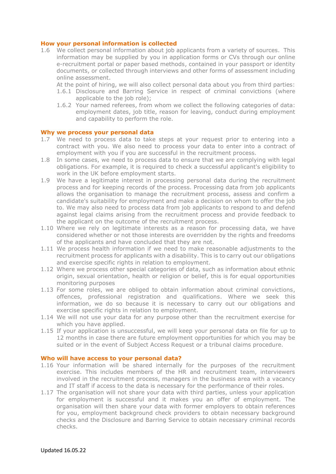## **How your personal information is collected**

1.6 We collect personal information about job applicants from a variety of sources. This information may be supplied by you in application forms or CVs through our online e-recruitment portal or paper based methods, contained in your passport or identity documents, or collected through interviews and other forms of assessment including online assessment.

At the point of hiring, we will also collect personal data about you from third parties:

- 1.6.1 Disclosure and Barring Service in respect of criminal convictions (where applicable to the job role);
- 1.6.2 Your named referees, from whom we collect the following categories of data: employment dates, job title, reason for leaving, conduct during employment and capability to perform the role.

## **Why we process your personal data**

- 1.7 We need to process data to take steps at your request prior to entering into a contract with you. We also need to process your data to enter into a contract of employment with you if you are successful in the recruitment process.
- 1.8 In some cases, we need to process data to ensure that we are complying with legal obligations. For example, it is required to check a successful applicant's eligibility to work in the UK before employment starts.
- 1.9 We have a legitimate interest in processing personal data during the recruitment process and for keeping records of the process. Processing data from job applicants allows the organisation to manage the recruitment process, assess and confirm a candidate's suitability for employment and make a decision on whom to offer the job to. We may also need to process data from job applicants to respond to and defend against legal claims arising from the recruitment process and provide feedback to the applicant on the outcome of the recruitment process.
- 1.10 Where we rely on legitimate interests as a reason for processing data, we have considered whether or not those interests are overridden by the rights and freedoms of the applicants and have concluded that they are not.
- 1.11 We process health information if we need to make reasonable adjustments to the recruitment process for applicants with a disability. This is to carry out our obligations and exercise specific rights in relation to employment.
- 1.12 Where we process other special categories of data, such as information about ethnic origin, sexual orientation, health or religion or belief, this is for equal opportunities monitoring purposes
- 1.13 For some roles, we are obliged to obtain information about criminal convictions, offences, professional registration and qualifications. Where we seek this information, we do so because it is necessary to carry out our obligations and exercise specific rights in relation to employment.
- 1.14 We will not use your data for any purpose other than the recruitment exercise for which you have applied.
- 1.15 If your application is unsuccessful, we will keep your personal data on file for up to 12 months in case there are future employment opportunities for which you may be suited or in the event of Subject Access Request or a tribunal claims procedure.

#### **Who will have access to your personal data?**

- 1.16 Your information will be shared internally for the purposes of the recruitment exercise. This includes members of the HR and recruitment team, interviewers involved in the recruitment process, managers in the business area with a vacancy and IT staff if access to the data is necessary for the performance of their roles.
- 1.17 The organisation will not share your data with third parties, unless your application for employment is successful and it makes you an offer of employment. The organisation will then share your data with former employers to obtain references for you, employment background check providers to obtain necessary background checks and the Disclosure and Barring Service to obtain necessary criminal records checks.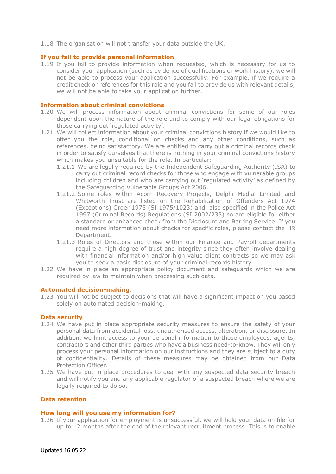1.18 The organisation will not transfer your data outside the UK.

## **If you fail to provide personal information**

1.19 If you fail to provide information when requested, which is necessary for us to consider your application (such as evidence of qualifications or work history), we will not be able to process your application successfully. For example, if we require a credit check or references for this role and you fail to provide us with relevant details, we will not be able to take your application further.

## **Information about criminal convictions**

- 1.20 We will process information about criminal convictions for some of our roles dependent upon the nature of the role and to comply with our legal obligations for those carrying out 'regulated activity'.
- 1.21 We will collect information about your criminal convictions history if we would like to offer you the role, conditional on checks and any other conditions, such as references, being satisfactory. We are entitled to carry out a criminal records check in order to satisfy ourselves that there is nothing in your criminal convictions history which makes you unsuitable for the role. In particular:
	- 1.21.1 We are legally required by the Independent Safeguarding Authority (ISA) to carry out criminal record checks for those who engage with vulnerable groups including children and who are carrying out 'regulated activity' as defined by the Safeguarding Vulnerable Groups Act 2006.
	- 1.21.2 Some roles within Acorn Recovery Projects, Delphi Medial Limited and Whitworth Trust are listed on the Rehabilitation of Offenders Act 1974 (Exceptions) Order 1975 (SI 1975/1023) and also specified in the Police Act 1997 (Criminal Records) Regulations (SI 2002/233) so are eligible for either a standard or enhanced check from the Disclosure and Barring Service. If you need more information about checks for specific roles, please contact the HR Department.
	- 1.21.3 Roles of Directors and those within our Finance and Payroll departments require a high degree of trust and integrity since they often involve dealing with financial information and/or high value client contracts so we may ask you to seek a basic disclosure of your criminal records history.
- 1.22 We have in place an appropriate policy document and safeguards which we are required by law to maintain when processing such data.

#### **Automated decision-making**:

1.23 You will not be subject to decisions that will have a significant impact on you based solely on automated decision-making.

## **Data security**

- 1.24 We have put in place appropriate security measures to ensure the safety of your personal data from accidental loss, unauthorised access, alteration, or disclosure. In addition, we limit access to your personal information to those employees, agents, contractors and other third parties who have a business need-to-know. They will only process your personal information on our instructions and they are subject to a duty of confidentiality. Details of these measures may be obtained from our Data Protection Officer.
- 1.25 We have put in place procedures to deal with any suspected data security breach and will notify you and any applicable regulator of a suspected breach where we are legally required to do so.

#### **Data retention**

#### **How long will you use my information for?**

1.26 If your application for employment is unsuccessful, we will hold your data on file for up to 12 months after the end of the relevant recruitment process. This is to enable